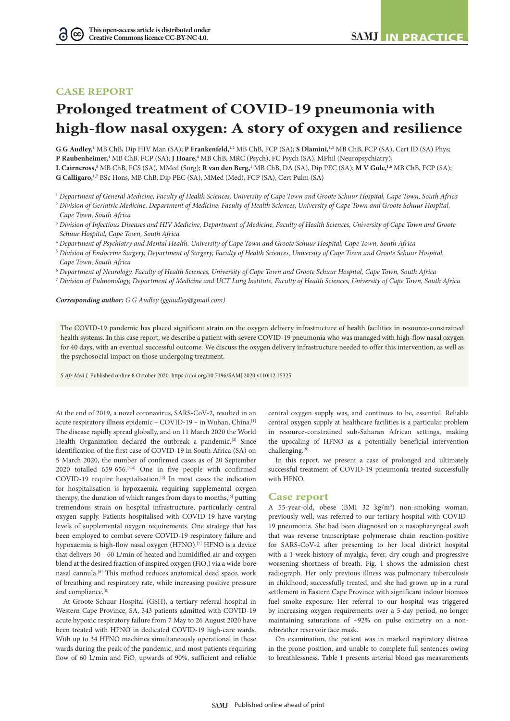# **CASE REPORT**

G

# **Prolonged treatment of COVID-19 pneumonia with high-flow nasal oxygen: A story of oxygen and resilience**

**G G Audley,**<sup>1</sup> MB ChB, Dip HIV Man (SA); **P Frankenfeld**,<sup>1,2</sup> MB ChB, FCP (SA); **S Dlamini,**<sup>1,3</sup> MB ChB, FCP (SA), Cert ID (SA) Phys; P Raubenheimer,<sup>1</sup> MB ChB, FCP (SA); **J Hoare**,<sup>4</sup> MB ChB, MRC (Psych), FC Psych (SA), MPhil (Neuropsychiatry);  $L$  Cairncross,<sup>5</sup> MB ChB, FCS (SA), MMed (Surg); **R van den Berg,**<sup>1</sup> MB ChB, DA (SA), Dip PEC (SA); **M V Gule,**<sup>1,6</sup> MB ChB, FCP (SA);

**G Calligaro,1,7** BSc Hons, MB ChB, Dip PEC (SA), MMed (Med), FCP (SA), Cert Pulm (SA)

1  *Department of General Medicine, Faculty of Health Sciences, University of Cape Town and Groote Schuur Hospital, Cape Town, South Africa*

- <sup>2</sup> *Division of Geriatric Medicine, Department of Medicine, Faculty of Health Sciences, University of Cape Town and Groote Schuur Hospital, Cape Town, South Africa*
- <sup>3</sup> *Division of Infectious Diseases and HIV Medicine, Department of Medicine, Faculty of Health Sciences, University of Cape Town and Groote Schuur Hospital, Cape Town, South Africa*
- 4  *Department of Psychiatry and Mental Health, University of Cape Town and Groote Schuur Hospital, Cape Town, South Africa*
- <sup>5</sup> *Division of Endocrine Surgery, Department of Surgery, Faculty of Health Sciences, University of Cape Town and Groote Schuur Hospital, Cape Town, South Africa*
- 6  *Department of Neurology, Faculty of Health Sciences, University of Cape Town and Groote Schuur Hospital, Cape Town, South Africa*
- 7  *Division of Pulmonology, Department of Medicine and UCT Lung Institute, Faculty of Health Sciences, University of Cape Town, South Africa*

*Corresponding author: G G Audley (ggaudley@gmail.com)*

The COVID-19 pandemic has placed significant strain on the oxygen delivery infrastructure of health facilities in resource-constrained health systems. In this case report, we describe a patient with severe COVID-19 pneumonia who was managed with high-flow nasal oxygen for 40 days, with an eventual successful outcome. We discuss the oxygen delivery infrastructure needed to offer this intervention, as well as the psychosocial impact on those undergoing treatment.

*S Afr Med J.* Published online 8 October 2020. https://doi.org/10.7196/SAMJ.2020.v110i12.15325

At the end of 2019, a novel coronavirus, SARS-CoV-2, resulted in an acute respiratory illness epidemic - COVID-19 - in Wuhan, China.<sup>[1]</sup> The disease rapidly spread globally, and on 11 March 2020 the World Health Organization declared the outbreak a pandemic.<sup>[2]</sup> Since identification of the first case of COVID-19 in South Africa (SA) on 5 March 2020, the number of confirmed cases as of 20 September 2020 totalled 659 656.[3,4] One in five people with confirmed COVID-19 require hospitalisation.[5] In most cases the indication for hospitalisation is hypoxaemia requiring supplemental oxygen therapy, the duration of which ranges from days to months,<sup>[6]</sup> putting tremendous strain on hospital infrastructure, particularly central oxygen supply. Patients hospitalised with COVID-19 have varying levels of supplemental oxygen requirements. One strategy that has been employed to combat severe COVID-19 respiratory failure and hypoxaemia is high-flow nasal oxygen (HFNO).<sup>[7]</sup> HFNO is a device that delivers 30 - 60 L/min of heated and humidified air and oxygen blend at the desired fraction of inspired oxygen (FiO<sub>2</sub>) via a wide-bore nasal cannula.[8] This method reduces anatomical dead space, work of breathing and respiratory rate, while increasing positive pressure and compliance.<sup>[8]</sup>

At Groote Schuur Hospital (GSH), a tertiary referral hospital in Western Cape Province, SA, 343 patients admitted with COVID-19 acute hypoxic respiratory failure from 7 May to 26 August 2020 have been treated with HFNO in dedicated COVID-19 high-care wards. With up to 34 HFNO machines simultaneously operational in these wards during the peak of the pandemic, and most patients requiring flow of 60 L/min and FiO<sub>2</sub> upwards of 90%, sufficient and reliable

central oxygen supply was, and continues to be, essential. Reliable central oxygen supply at healthcare facilities is a particular problem in resource-constrained sub-Saharan African settings, making the upscaling of HFNO as a potentially beneficial intervention challenging.[9]

In this report, we present a case of prolonged and ultimately successful treatment of COVID-19 pneumonia treated successfully with HFNO.

#### **Case report**

A 55-year-old, obese (BMI 32 kg/m<sup>2</sup>) non-smoking woman, previously well, was referred to our tertiary hospital with COVID-19 pneumonia. She had been diagnosed on a nasopharyngeal swab that was reverse transcriptase polymerase chain reaction-positive for SARS-CoV-2 after presenting to her local district hospital with a 1-week history of myalgia, fever, dry cough and progressive worsening shortness of breath. Fig. 1 shows the admission chest radiograph. Her only previous illness was pulmonary tuberculosis in childhood, successfully treated, and she had grown up in a rural settlement in Eastern Cape Province with significant indoor biomass fuel smoke exposure. Her referral to our hospital was triggered by increasing oxygen requirements over a 5-day period, no longer maintaining saturations of ~92% on pulse oximetry on a nonrebreather reservoir face mask.

On examination, the patient was in marked respiratory distress in the prone position, and unable to complete full sentences owing to breathlessness. Table 1 presents arterial blood gas measurements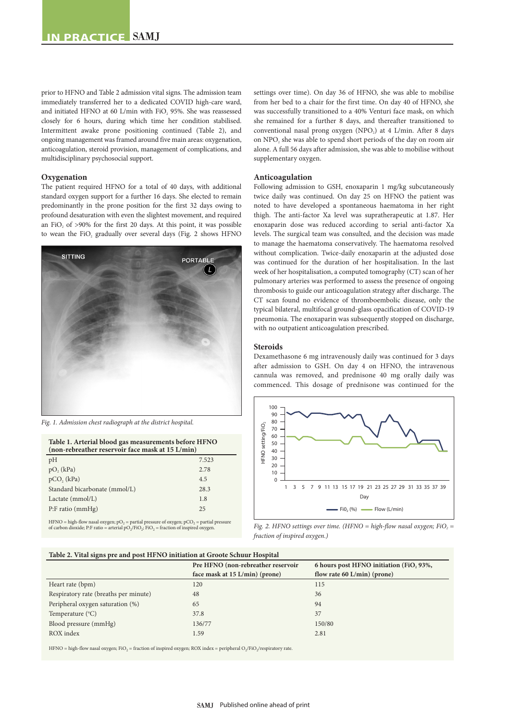prior to HFNO and Table 2 admission vital signs. The admission team immediately transferred her to a dedicated COVID high-care ward, and initiated HFNO at 60 L/min with FiO<sub>2</sub> 95%. She was reassessed closely for 6 hours, during which time her condition stabilised. Intermittent awake prone positioning continued (Table 2), and ongoing management was framed around five main areas: oxygenation, anticoagulation, steroid provision, management of complications, and multidisciplinary psychosocial support.

## **Oxygenation**

The patient required HFNO for a total of 40 days, with additional standard oxygen support for a further 16 days. She elected to remain predominantly in the prone position for the first 32 days owing to profound desaturation with even the slightest movement, and required an FiO<sub>2</sub> of  $>90\%$  for the first 20 days. At this point, it was possible to wean the FiO<sub>2</sub> gradually over several days (Fig. 2 shows HFNO



*Fig. 1. Admission chest radiograph at the district hospital.*

| Table 1. Arterial blood gas measurements before HFNO<br>(non-rebreather reservoir face mask at 15 L/min) |       |
|----------------------------------------------------------------------------------------------------------|-------|
| pH                                                                                                       | 7.523 |
| $pO_2$ (kPa)                                                                                             | 2.78  |
| $pCO$ , $(kPa)$                                                                                          | 4.5   |
| Standard bicarbonate (mmol/L)                                                                            | 28.3  |
| Lactate $(mmol/L)$                                                                                       | 1.8   |
| $P:$ F ratio (mmHg)                                                                                      | 25    |
|                                                                                                          |       |

HFNO = high-flow nasal oxygen;  $pO_2$  = partial pressure of oxygen;  $pCO_2$  = partial pressure of carbon dioxide; P:F ratio = arterial  $pO_2/FiO_2$ ; FiO<sub>2</sub> = fraction of inspired oxygen.

settings over time). On day 36 of HFNO, she was able to mobilise from her bed to a chair for the first time. On day 40 of HFNO, she was successfully transitioned to a 40% Venturi face mask, on which she remained for a further 8 days, and thereafter transitioned to conventional nasal prong oxygen (NPO<sub>2</sub>) at 4 L/min. After 8 days on NPO<sub>2</sub> she was able to spend short periods of the day on room air alone. A full 56 days after admission, she was able to mobilise without supplementary oxygen.

# **Anticoagulation**

Following admission to GSH, enoxaparin 1 mg/kg subcutaneously twice daily was continued. On day 25 on HFNO the patient was noted to have developed a spontaneous haematoma in her right thigh. The anti-factor Xa level was supratherapeutic at 1.87. Her enoxaparin dose was reduced according to serial anti-factor Xa levels. The surgical team was consulted, and the decision was made to manage the haematoma conservatively. The haematoma resolved without complication. Twice-daily enoxaparin at the adjusted dose was continued for the duration of her hospitalisation. In the last week of her hospitalisation, a computed tomography (CT) scan of her pulmonary arteries was performed to assess the presence of ongoing thrombosis to guide our anticoagulation strategy after discharge. The CT scan found no evidence of thromboembolic disease, only the typical bilateral, multifocal ground-glass opacification of COVID-19 pneumonia. The enoxaparin was subsequently stopped on discharge, with no outpatient anticoagulation prescribed.

#### **Steroids**

Dexamethasone 6 mg intravenously daily was continued for 3 days after admission to GSH. On day 4 on HFNO, the intravenous cannula was removed, and prednisone 40 mg orally daily was commenced. This dosage of prednisone was continued for the



*Fig. 2. HFNO settings over time. (HFNO = high-flow nasal oxygen; FiO<sub>2</sub> = fraction of inspired oxygen.)*

# **Table 2. Vital signs pre and post HFNO initiation at Groote Schuur Hospital**

| $\sim$                                |                                    |                                         |
|---------------------------------------|------------------------------------|-----------------------------------------|
|                                       | Pre HFNO (non-rebreather reservoir | 6 hours post HFNO initiation (FiO, 93%, |
|                                       | face mask at 15 L/min) (prone)     | flow rate 60 $L/min$ (prone)            |
| Heart rate (bpm)                      | 120                                | 115                                     |
| Respiratory rate (breaths per minute) | 48                                 | 36                                      |
| Peripheral oxygen saturation (%)      | 65                                 | 94                                      |
| Temperature $(^{\circ}C)$             | 37.8                               | 37                                      |
| Blood pressure (mmHg)                 | 136/77                             | 150/80                                  |
| ROX index                             | 1.59                               | 2.81                                    |
|                                       |                                    |                                         |

HFNO = high-flow nasal oxygen; FiO<sub>2</sub> = fraction of inspired oxygen; ROX index = peripheral O<sub>2</sub>/FiO<sub>2</sub>/respiratory rate.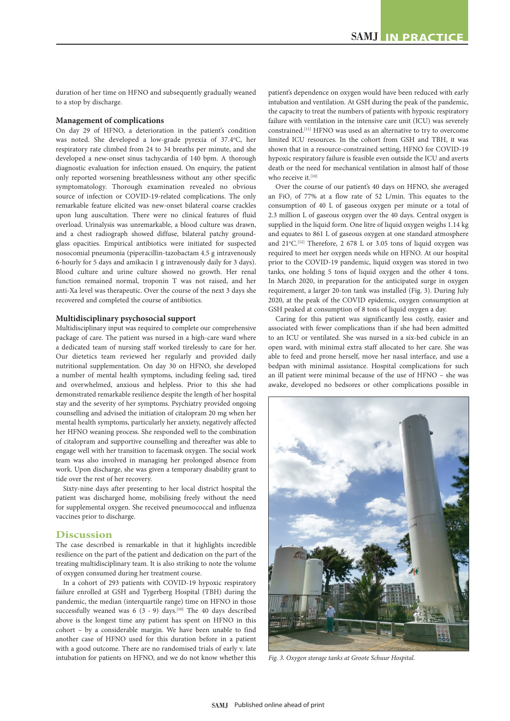duration of her time on HFNO and subsequently gradually weaned to a stop by discharge.

# **Management of complications**

On day 29 of HFNO, a deterioration in the patient's condition was noted. She developed a low-grade pyrexia of 37.4°C, her respiratory rate climbed from 24 to 34 breaths per minute, and she developed a new-onset sinus tachycardia of 140 bpm. A thorough diagnostic evaluation for infection ensued. On enquiry, the patient only reported worsening breathlessness without any other specific symptomatology. Thorough examination revealed no obvious source of infection or COVID-19-related complications. The only remarkable feature elicited was new-onset bilateral coarse crackles upon lung auscultation. There were no clinical features of fluid overload. Urinalysis was unremarkable, a blood culture was drawn, and a chest radiograph showed diffuse, bilateral patchy groundglass opacities. Empirical antibiotics were initiated for suspected nosocomial pneumonia (piperacillin-tazobactam 4.5 g intravenously 6-hourly for 5 days and amikacin 1 g intravenously daily for 3 days). Blood culture and urine culture showed no growth. Her renal function remained normal, troponin T was not raised, and her anti-Xa level was therapeutic. Over the course of the next 3 days she recovered and completed the course of antibiotics.

## **Multidisciplinary psychosocial support**

Multidisciplinary input was required to complete our comprehensive package of care. The patient was nursed in a high-care ward where a dedicated team of nursing staff worked tirelessly to care for her. Our dietetics team reviewed her regularly and provided daily nutritional supplementation. On day 30 on HFNO, she developed a number of mental health symptoms, including feeling sad, tired and overwhelmed, anxious and helpless. Prior to this she had demonstrated remarkable resilience despite the length of her hospital stay and the severity of her symptoms. Psychiatry provided ongoing counselling and advised the initiation of citalopram 20 mg when her mental health symptoms, particularly her anxiety, negatively affected her HFNO weaning process. She responded well to the combination of citalopram and supportive counselling and thereafter was able to engage well with her transition to facemask oxygen. The social work team was also involved in managing her prolonged absence from work. Upon discharge, she was given a temporary disability grant to tide over the rest of her recovery.

Sixty-nine days after presenting to her local district hospital the patient was discharged home, mobilising freely without the need for supplemental oxygen. She received pneumococcal and influenza vaccines prior to discharge.

# **Discussion**

The case described is remarkable in that it highlights incredible resilience on the part of the patient and dedication on the part of the treating multidisciplinary team. It is also striking to note the volume of oxygen consumed during her treatment course.

In a cohort of 293 patients with COVID-19 hypoxic respiratory failure enrolled at GSH and Tygerberg Hospital (TBH) during the pandemic, the median (interquartile range) time on HFNO in those successfully weaned was 6 (3 - 9) days.<sup>[10]</sup> The 40 days described above is the longest time any patient has spent on HFNO in this cohort – by a considerable margin. We have been unable to find another case of HFNO used for this duration before in a patient with a good outcome. There are no randomised trials of early v. late intubation for patients on HFNO, and we do not know whether this patient's dependence on oxygen would have been reduced with early intubation and ventilation. At GSH during the peak of the pandemic, the capacity to treat the numbers of patients with hypoxic respiratory failure with ventilation in the intensive care unit (ICU) was severely constrained.[11] HFNO was used as an alternative to try to overcome limited ICU resources. In the cohort from GSH and TBH, it was shown that in a resource-constrained setting, HFNO for COVID-19 hypoxic respiratory failure is feasible even outside the ICU and averts death or the need for mechanical ventilation in almost half of those who receive it.[10]

Over the course of our patient's 40 days on HFNO, she averaged an FiO<sub>2</sub> of 77% at a flow rate of 52 L/min. This equates to the consumption of 40 L of gaseous oxygen per minute or a total of 2.3 million L of gaseous oxygen over the 40 days. Central oxygen is supplied in the liquid form. One litre of liquid oxygen weighs 1.14 kg and equates to 861 L of gaseous oxygen at one standard atmosphere and  $21^{\circ}$ C.<sup>[12]</sup> Therefore, 2 678 L or 3.05 tons of liquid oxygen was required to meet her oxygen needs while on HFNO. At our hospital prior to the COVID-19 pandemic, liquid oxygen was stored in two tanks, one holding 5 tons of liquid oxygen and the other 4 tons. In March 2020, in preparation for the anticipated surge in oxygen requirement, a larger 20-ton tank was installed (Fig. 3). During July 2020, at the peak of the COVID epidemic, oxygen consumption at GSH peaked at consumption of 8 tons of liquid oxygen a day.

Caring for this patient was significantly less costly, easier and associated with fewer complications than if she had been admitted to an ICU or ventilated. She was nursed in a six-bed cubicle in an open ward, with minimal extra staff allocated to her care. She was able to feed and prone herself, move her nasal interface, and use a bedpan with minimal assistance. Hospital complications for such an ill patient were minimal because of the use of HFNO – she was awake, developed no bedsores or other complications possible in



*Fig. 3. Oxygen storage tanks at Groote Schuur Hospital.*